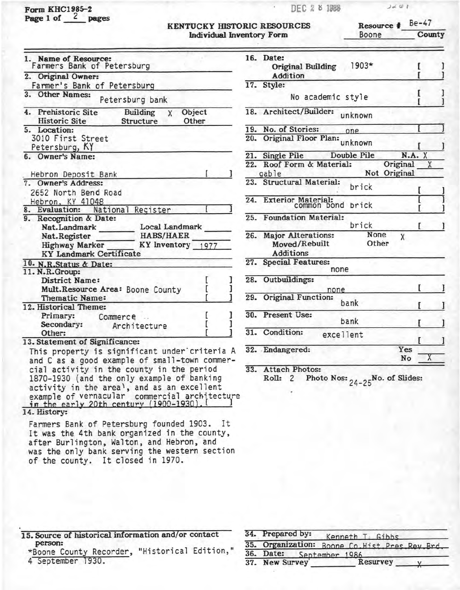Form KHC1985-2 Page 1 of <u>2</u> pages

14. History:

## KENTUCKY HISTORIC RESOURCES Individual Inventory Form

| Resource # | $Be-47$ |  |  |
|------------|---------|--|--|
| Boone      | County  |  |  |
|            |         |  |  |

| 1. Name of Resource:<br>Farmers Bank of Petersburg                                                         | 16. Date:<br>1903*<br>Original Building                             |
|------------------------------------------------------------------------------------------------------------|---------------------------------------------------------------------|
| 2. Original Owner:                                                                                         | Addition                                                            |
| Farmer's Bank of Petersburg<br>3. Other Names:                                                             | 17. Style:                                                          |
| Petersburg bank                                                                                            | No academic style                                                   |
| 4. Prehistoric Site<br>Object<br><b>Building</b><br>X<br><b>Historic Site</b><br>Other<br><b>Structure</b> | 18. Architect/Builder:<br>unknown                                   |
| 5. Location:                                                                                               | 19. No. of Stories:<br>one                                          |
| 3010 First Street<br>Petersburg, KY                                                                        | 20. Original Floor Plan: unknown                                    |
| 6. Owner's Name:                                                                                           | Double Pile<br>N.A. X<br>21. Single Pile                            |
| Hebron Deposit Bank                                                                                        | 22. Roof Form & Material:<br>Original<br>X<br>Not Original<br>qable |
| 7. Owner's Address:<br>2652 North Bend Road                                                                | 23. Structural Material:<br>brick                                   |
| Hebron, KY 41048                                                                                           | 24. Exterior Material:<br>common bond brick                         |
| National Register<br>8. Evaluation:                                                                        |                                                                     |
| 9. Recognition & Date:<br>Nat.Landmark<br>Local Landmark                                                   | 25. Foundation Material:<br>brick                                   |
| <b>HABS/HAER</b><br>Nat.Register                                                                           | None<br>26. Major Alterations:<br>X                                 |
| KY Inventory 1977<br><b>Highway Marker</b><br><b>KY Landmark Certificate</b>                               | Moved/Rebuilt<br>Other<br>Additions                                 |
| 10. N.R.Status & Date:<br>11. N.R.Group:                                                                   | 27. Special Features:<br>none                                       |
| <b>District Name:</b><br>Mult.Resource Area: Boone County                                                  | 28. Outbuildings:<br>none                                           |
| <b>Thematic Name:</b>                                                                                      | 29. Original Function:                                              |
| 12. Historical Theme:                                                                                      | bank                                                                |
| Primary:<br>Commerce<br>Secondary:<br>Architecture                                                         | 30. Present Use:<br>bank                                            |
| Other:<br>13. Statement of Significance:                                                                   | 31. Condition:<br>excellent                                         |
| This property is significant under criteria A<br>and C as a good example of small-town commer-             | Yes<br>32. Endangered:<br>No<br>X                                   |

**DEC Z » 1888**

33. Attach Photos:<br>Roll: 2 Phot Photo Nos:  $24-25$ No. of Slides:

| 15. Source of historical information and/or contact |  |  |
|-----------------------------------------------------|--|--|
| person:                                             |  |  |

\*Boone County Recorder, "Historical Edition," 4 September 1930.

cial activity in the county in the period 1870-1930 (and the only example of banking activity in the area', and as an excellent

in the early 20th century  $(1900-1930)$ .

of the county. It closed in 1970.

example of vernacular commercial archi tecture

Farmers Bank of Petersburg founded 1903. It It was the 4th bank organized in the county, after Burlington, Walton, and Hebron, and was the only bank serving the western section

> 34. Prepared by: Kenneth T. Gibbs 35. Organization: Boone Co. Hist. Pres Rev. Br<br>36. Date: Sentember 1986 September 1986<br>vev Resurvey 37. New Survey

 $J_0$   $U_1$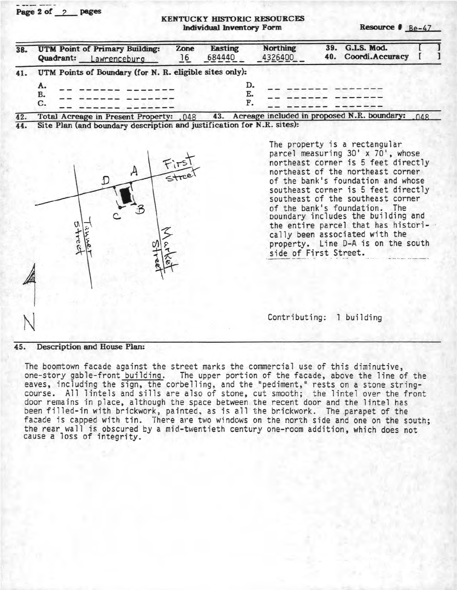**Page 2 of ? pages**

#### **KENTUCKY HISTORIC RESOURCES Individual Inventory Form** Resource #  $Be-47$

| 38. | UTM Point of Primary Building:<br>Quadrant:<br>Lawrenceburg                                    | Zone<br>16 | <b>Easting</b><br>684440 | <b>Northing</b><br>4326400 | 39. G.I.S. Mod.<br>40. Coordi.Accuracy              |  |
|-----|------------------------------------------------------------------------------------------------|------------|--------------------------|----------------------------|-----------------------------------------------------|--|
| 41. | UTM Points of Boundary (for N. R. eligible sites only):<br>А.<br>$- - - - - - - -$<br>B.<br>C. |            | D.                       |                            |                                                     |  |
| 42. | Total Acreage in Present Property:                                                             | .048       |                          | $\mathbf{r}$               | 43. Acreage included in proposed N.R. boundary: 048 |  |

 $\frac{42}{1}$ 44. Site Plan (and boundary description and justification for N.R. sites):



The property is a rectangular<br>parcel measuring 30' x 70', whose parcel measuring 30' x 70', whose<br>northeast corner is 5 feet direct northeast corner is 5 feet directly<br>northeast of the northeast corner northeast of the northeast corner<br>of the bank's foundation and whose southeast corner is 5 feet directly southeast of the southeast corner of the bank's foundation. The of the bank's foundation. The<br>poundary includes the building boundary includes the building and the entire parcel that has histori-<br>cally been associated with the cally been associated with the<br>property line D-A is on the property. Line D-A is on the south<br>side of Finst Street side of First Street.

Contributing: <sup>1</sup> building

## 45. Description and House Plan:

The boomtown facade against the street marks the commercial use of this diminutive, one-story gable-front building. The upper portion of the facade, above the line of the one-story gable-front <u>building</u>. The upper portion of the facade, above the line of the<br>eaves including the sign, the corbelling, and the "pediment" rests on a stope stringeaves, including the sign, the corbelling, and the "pediment," rests on a stone string-<br>course - All lintels and sills are also of stone, cut smooth: the lintel over the from course. All lintels and sills are also of stone, cut smooth; the lintel over the front<br>door remains in place, although the space between the recent door and the lintel has door remains in place, although the space between the recent door and the lintel has been filled-in with brickwork, painted, as is all the brickwork. The parapet of the<br>facade is capped with tin. There are two windows on the north side and one on the south; facade is capped with tin. There are two windows on the north side and one on the south;<br>the rear wall is obscured by a mid-twentieth century one-room addition, which does not the rear wall is obscured by <sup>a</sup> mid-twentieth century one-room addition, which does not cause <sup>a</sup> loss of integrity.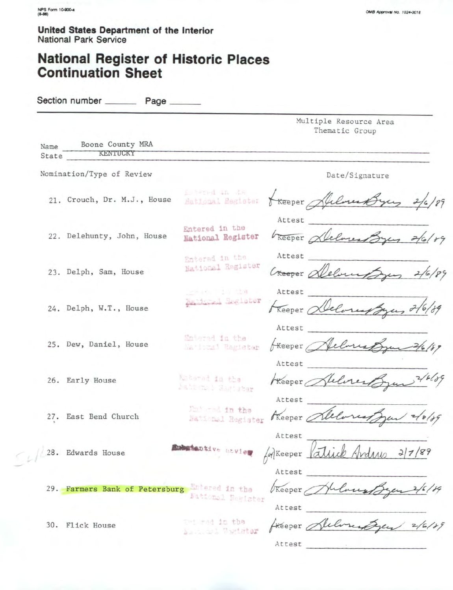NPS Form 10-900-a

OMB Approval No. 1024-0018

United States Department of the Interior **National Park Service** 

## **National Register of Historic Places Continuation Sheet**

Section number \_\_\_\_\_\_\_\_\_\_\_ Page \_\_\_\_\_\_\_ Multiple Resource Area Thematic Group Boone County MRA Name KENTUCKY State Nomination/Type of Review i terd in de Treeper Allowe Byen 2/6/89 21. Crouch, Dr. M.J., House Hatignal Beglater Attest Entered in the Greeper Lebures Brus 21 22. Delehunty, John, House National Register Attest Entered in the National Register Creeper Alebus 23. Delph, Sam, House  $-9.8 - 1.28$ Attest Madisial Register FREEPER Delovester 24. Delph, W.T., House Attest Entered in the Heeper Allouse 25. Dew, Daniel, House Maritzad Register Attest Knownd in the Heeper Stelver 26. Early House

27. East Bend Church

May and in the Reeper Alelance National Register

Rubstantive asview

habit to I day ister

Attest

Attest

Reeper Hulaws B

Attest

for Keeper Patrick Andrew 2/7/89

Date/Signature

29. Farmers Bank of Petersburg Entered in the Fational Hawlster

30. Flick House

28. Edwards House

Attest HEEPER Stelvenstern 2/6/89

Thi rad is the Austria Teatrior

Attest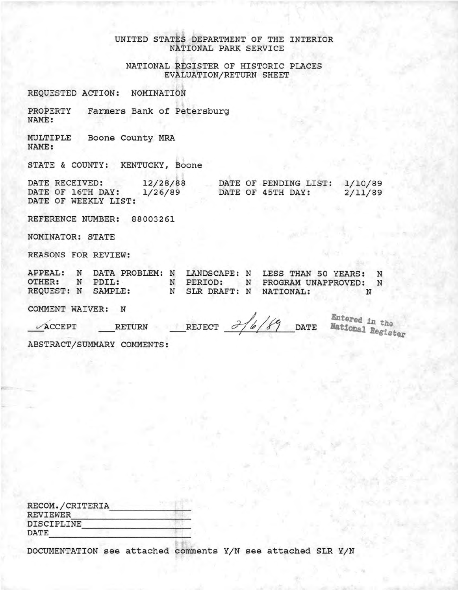## UNITED STATES DEFARTMENT OF THE INTERIOR<br>NATIONAL DADK GEDVICE NATIONAL PARK SERVICE

NATIONAL REGISTER OF HISTORIC PLACES EVALUATION/RETURN SHEET

REQUESTED ACTION: NOMINATION

PROPERTY Farmers Bank of Petersburg NAME:

NAME. NAME: MULTIPLE Boone County MRA

STATE & COUNTY: KENTUCKY, Boone

DATE RECEIVED: 12/28/88<br>DATE OF 16TH DAV: 1/26/89 DATE OF 16TH DAY: 1/26/8<br>DATE OF WEEKLY LIST. DATE OF WEEKLY LIST: DATE OF PENDING LIST:<br>DATE OF *A*ETH DAV. DAID OF 45IH DAI. 1/10/89<br>2/11/89 2/11/89

REFERENCE NUMBER: 88003261

NOMINATOR: STATE

REASONS FOR REVIEW:

|                |                    |                          | APPEAL: N DATA PROBLEM: N LANDSCAPE: N LESS THAN 50 YEARS: N |   |  |
|----------------|--------------------|--------------------------|--------------------------------------------------------------|---|--|
| OTHER: N PDIL: |                    |                          | N PERIOD: N PROGRAM UNAPPROVED: N                            |   |  |
|                | REOUEST: N SAMPLE: | N SLR DRAFT: N NATIONAL: |                                                              | N |  |

COMMENT WAIVER: N

 $\sqrt{\text{ACCEPT}}$  RETURN REJECT  $\frac{\partial}{\partial}$   $\frac{\partial}{\partial}$  DATE

Entered in the National Register

ABSTRACT/SUMMARY COMMENTS:

| RECOM./CRITERIA   |  |
|-------------------|--|
| <b>REVIEWER</b>   |  |
| <b>DISCIPLINE</b> |  |
| DATE              |  |
|                   |  |

DOCUMENTATION see attached comments Y/N see attached SLR Y/N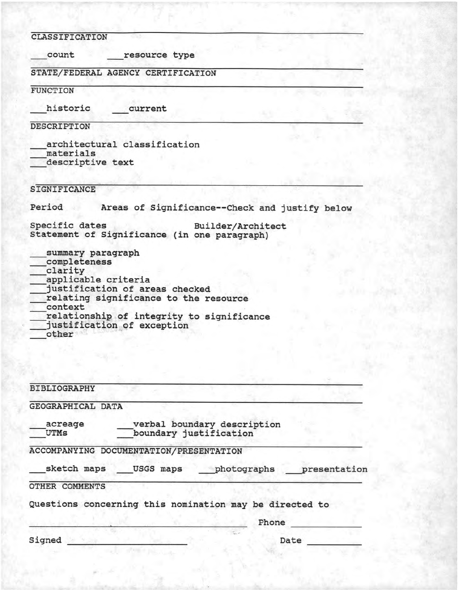## CLASSIFICATION

\_\_\_count \_\_\_resource type

STATE/FEDERAL AGENCY CERTIFICATION

FUNCTION

historic current

DESCRIPTION

architectural classification materials descriptive text

## SIGNIFICANCE

Period Areas of Significance—Check and justify below

Specific dates builder/Architect<br>Statement of Significance (in one namegraph) Statement of Significance (in one paragraph)

- summary paragraph
- \_\_\_completeness
- \_\_\_clarity
- \_\_\_applicable criteria
- \_\_\_justification of areas checked
- \_\_\_relating significance to the resource
- \_\_\_ context
- relationship of integrity to significance
- \_\_\_justification of exception
- other

| <b>BIBLIOGRAPHY</b> |                                                             |                                                         |              |
|---------------------|-------------------------------------------------------------|---------------------------------------------------------|--------------|
| GEOGRAPHICAL DATA   |                                                             |                                                         |              |
| acreage<br>UTMs     | boundary justification                                      | verbal boundary description                             |              |
| sketch maps         | ACCOMPANYING DOCUMENTATION/PRESENTATION<br><b>USGS maps</b> | photographs                                             | presentation |
| OTHER COMMENTS      |                                                             |                                                         |              |
|                     |                                                             | Questions concerning this nomination may be directed to |              |
|                     |                                                             | Phone                                                   |              |
| Signed              |                                                             |                                                         | Date         |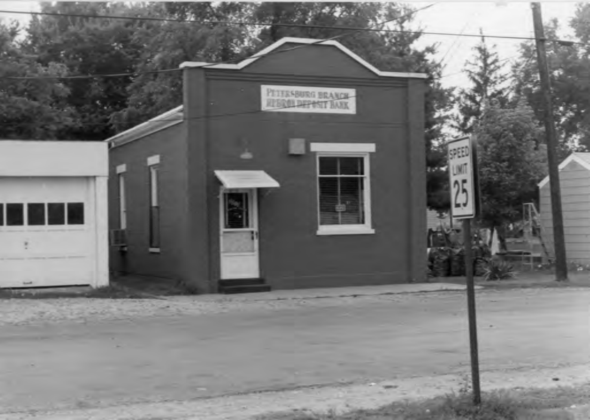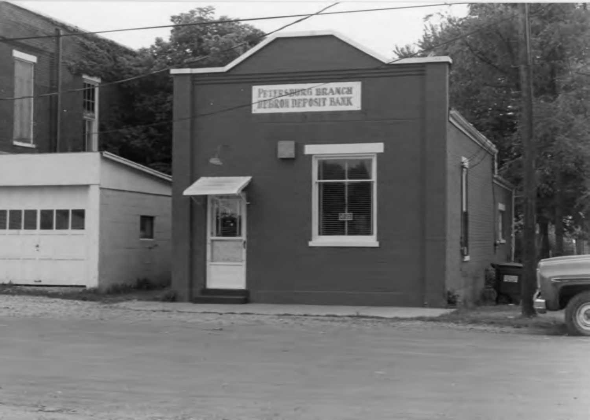